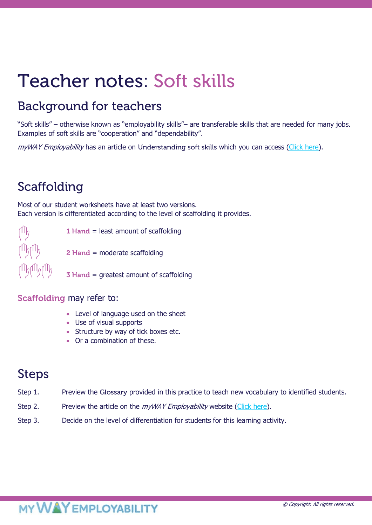# Teacher notes: Soft skills

### Background for teachers

"Soft skills" – otherwise known as "employability skills"– are transferable skills that are needed for many jobs. Examples of soft skills are "cooperation" and "dependability".

myWAY Employability has an article on Understanding soft skills which you can access [\(Click here\)](https://www.mywayemployability.com.au/resource/understanding-soft-skills).

### Scaffolding

Most of our student worksheets have at least two versions. Each version is differentiated according to the level of scaffolding it provides.



1 Hand = least amount of scaffolding

2 Hand = moderate scaffolding

3 Hand = greatest amount of scaffolding

### Scaffolding may refer to:

- Level of language used on the sheet
- Use of visual supports
- Structure by way of tick boxes etc.
- Or a combination of these.

### Steps

- Step 1. Preview the Glossary provided in this practice to teach new vocabulary to identified students.
- Step 2. Preview the article on the *myWAY Employability* website [\(Click here\)](https://www.mywayemployability.com.au/resource/understanding-soft-skills).
- Step 3. Decide on the level of differentiation for students for this learning activity.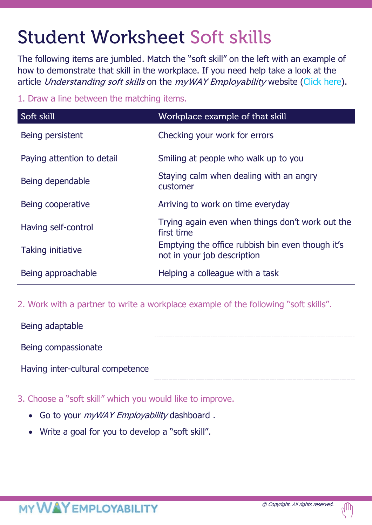## Student Worksheet Soft skills

The following items are jumbled. Match the "soft skill" on the left with an example of how to demonstrate that skill in the workplace. If you need help take a look at the article Understanding soft skills on the myWAY Employability website [\(Click here\)](https://www.mywayemployability.com.au/resource/understanding-soft-skills).

1. Draw a line between the matching items.

| Soft skill                 | Workplace example of that skill                                                 |
|----------------------------|---------------------------------------------------------------------------------|
| Being persistent           | Checking your work for errors                                                   |
| Paying attention to detail | Smiling at people who walk up to you                                            |
| Being dependable           | Staying calm when dealing with an angry<br>customer                             |
| Being cooperative          | Arriving to work on time everyday                                               |
| Having self-control        | Trying again even when things don't work out the<br>first time                  |
| Taking initiative          | Emptying the office rubbish bin even though it's<br>not in your job description |
| Being approachable         | Helping a colleague with a task                                                 |

2. Work with a partner to write a workplace example of the following "soft skills".

| Being adaptable                  |  |
|----------------------------------|--|
| Being compassionate              |  |
|                                  |  |
| Having inter-cultural competence |  |

3. Choose a "soft skill" which you would like to improve.

- Go to your *myWAY Employability* dashboard.
- Write a goal for you to develop a "soft skill".

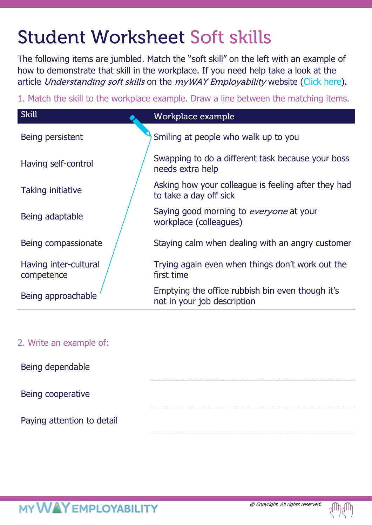# Student Worksheet Soft skills

The following items are jumbled. Match the "soft skill" on the left with an example of how to demonstrate that skill in the workplace. If you need help take a look at the article Understanding soft skills on the myWAY Employability website [\(Click here\)](https://www.mywayemployability.com.au/resource/understanding-soft-skills).

1. Match the skill to the workplace example. Draw a line between the matching items.

| <b>Skill</b>                        | Workplace example                                                               |
|-------------------------------------|---------------------------------------------------------------------------------|
| Being persistent                    | Smiling at people who walk up to you                                            |
| Having self-control                 | Swapping to do a different task because your boss<br>needs extra help           |
| <b>Taking initiative</b>            | Asking how your colleague is feeling after they had<br>to take a day off sick   |
| Being adaptable                     | Saying good morning to everyone at your<br>workplace (colleagues)               |
| Being compassionate                 | Staying calm when dealing with an angry customer                                |
| Having inter-cultural<br>competence | Trying again even when things don't work out the<br>first time                  |
| Being approachable                  | Emptying the office rubbish bin even though it's<br>not in your job description |

### 2. Write an example of:

Being dependable

Being cooperative

Paying attention to detail